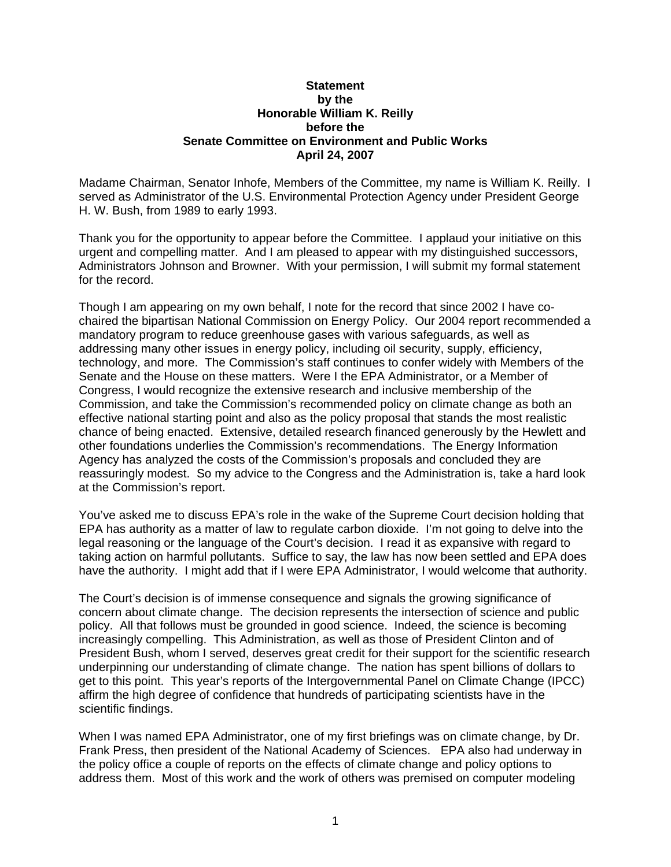## **Statement by the Honorable William K. Reilly before the Senate Committee on Environment and Public Works April 24, 2007**

Madame Chairman, Senator Inhofe, Members of the Committee, my name is William K. Reilly. I served as Administrator of the U.S. Environmental Protection Agency under President George H. W. Bush, from 1989 to early 1993.

Thank you for the opportunity to appear before the Committee. I applaud your initiative on this urgent and compelling matter. And I am pleased to appear with my distinguished successors, Administrators Johnson and Browner. With your permission, I will submit my formal statement for the record.

Though I am appearing on my own behalf, I note for the record that since 2002 I have cochaired the bipartisan National Commission on Energy Policy. Our 2004 report recommended a mandatory program to reduce greenhouse gases with various safeguards, as well as addressing many other issues in energy policy, including oil security, supply, efficiency, technology, and more. The Commission's staff continues to confer widely with Members of the Senate and the House on these matters. Were I the EPA Administrator, or a Member of Congress, I would recognize the extensive research and inclusive membership of the Commission, and take the Commission's recommended policy on climate change as both an effective national starting point and also as the policy proposal that stands the most realistic chance of being enacted. Extensive, detailed research financed generously by the Hewlett and other foundations underlies the Commission's recommendations. The Energy Information Agency has analyzed the costs of the Commission's proposals and concluded they are reassuringly modest. So my advice to the Congress and the Administration is, take a hard look at the Commission's report.

You've asked me to discuss EPA's role in the wake of the Supreme Court decision holding that EPA has authority as a matter of law to regulate carbon dioxide. I'm not going to delve into the legal reasoning or the language of the Court's decision. I read it as expansive with regard to taking action on harmful pollutants. Suffice to say, the law has now been settled and EPA does have the authority. I might add that if I were EPA Administrator, I would welcome that authority.

The Court's decision is of immense consequence and signals the growing significance of concern about climate change. The decision represents the intersection of science and public policy. All that follows must be grounded in good science. Indeed, the science is becoming increasingly compelling. This Administration, as well as those of President Clinton and of President Bush, whom I served, deserves great credit for their support for the scientific research underpinning our understanding of climate change. The nation has spent billions of dollars to get to this point. This year's reports of the Intergovernmental Panel on Climate Change (IPCC) affirm the high degree of confidence that hundreds of participating scientists have in the scientific findings.

When I was named EPA Administrator, one of my first briefings was on climate change, by Dr. Frank Press, then president of the National Academy of Sciences. EPA also had underway in the policy office a couple of reports on the effects of climate change and policy options to address them. Most of this work and the work of others was premised on computer modeling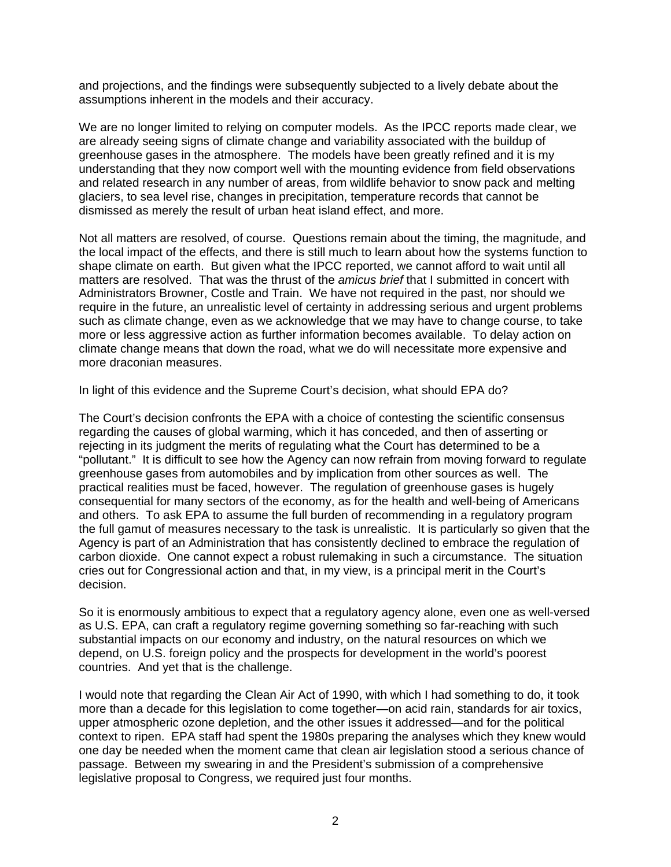and projections, and the findings were subsequently subjected to a lively debate about the assumptions inherent in the models and their accuracy.

We are no longer limited to relying on computer models. As the IPCC reports made clear, we are already seeing signs of climate change and variability associated with the buildup of greenhouse gases in the atmosphere. The models have been greatly refined and it is my understanding that they now comport well with the mounting evidence from field observations and related research in any number of areas, from wildlife behavior to snow pack and melting glaciers, to sea level rise, changes in precipitation, temperature records that cannot be dismissed as merely the result of urban heat island effect, and more.

Not all matters are resolved, of course. Questions remain about the timing, the magnitude, and the local impact of the effects, and there is still much to learn about how the systems function to shape climate on earth. But given what the IPCC reported, we cannot afford to wait until all matters are resolved. That was the thrust of the *amicus brief* that I submitted in concert with Administrators Browner, Costle and Train. We have not required in the past, nor should we require in the future, an unrealistic level of certainty in addressing serious and urgent problems such as climate change, even as we acknowledge that we may have to change course, to take more or less aggressive action as further information becomes available. To delay action on climate change means that down the road, what we do will necessitate more expensive and more draconian measures.

In light of this evidence and the Supreme Court's decision, what should EPA do?

The Court's decision confronts the EPA with a choice of contesting the scientific consensus regarding the causes of global warming, which it has conceded, and then of asserting or rejecting in its judgment the merits of regulating what the Court has determined to be a "pollutant." It is difficult to see how the Agency can now refrain from moving forward to regulate greenhouse gases from automobiles and by implication from other sources as well. The practical realities must be faced, however. The regulation of greenhouse gases is hugely consequential for many sectors of the economy, as for the health and well-being of Americans and others. To ask EPA to assume the full burden of recommending in a regulatory program the full gamut of measures necessary to the task is unrealistic. It is particularly so given that the Agency is part of an Administration that has consistently declined to embrace the regulation of carbon dioxide. One cannot expect a robust rulemaking in such a circumstance. The situation cries out for Congressional action and that, in my view, is a principal merit in the Court's decision.

So it is enormously ambitious to expect that a regulatory agency alone, even one as well-versed as U.S. EPA, can craft a regulatory regime governing something so far-reaching with such substantial impacts on our economy and industry, on the natural resources on which we depend, on U.S. foreign policy and the prospects for development in the world's poorest countries. And yet that is the challenge.

I would note that regarding the Clean Air Act of 1990, with which I had something to do, it took more than a decade for this legislation to come together—on acid rain, standards for air toxics, upper atmospheric ozone depletion, and the other issues it addressed—and for the political context to ripen. EPA staff had spent the 1980s preparing the analyses which they knew would one day be needed when the moment came that clean air legislation stood a serious chance of passage. Between my swearing in and the President's submission of a comprehensive legislative proposal to Congress, we required just four months.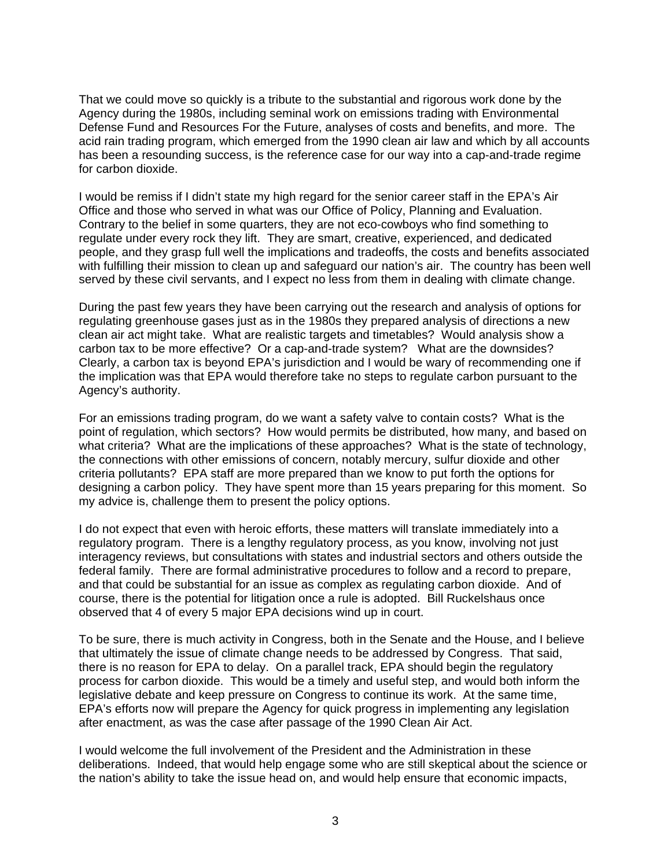That we could move so quickly is a tribute to the substantial and rigorous work done by the Agency during the 1980s, including seminal work on emissions trading with Environmental Defense Fund and Resources For the Future, analyses of costs and benefits, and more. The acid rain trading program, which emerged from the 1990 clean air law and which by all accounts has been a resounding success, is the reference case for our way into a cap-and-trade regime for carbon dioxide.

I would be remiss if I didn't state my high regard for the senior career staff in the EPA's Air Office and those who served in what was our Office of Policy, Planning and Evaluation. Contrary to the belief in some quarters, they are not eco-cowboys who find something to regulate under every rock they lift. They are smart, creative, experienced, and dedicated people, and they grasp full well the implications and tradeoffs, the costs and benefits associated with fulfilling their mission to clean up and safeguard our nation's air. The country has been well served by these civil servants, and I expect no less from them in dealing with climate change.

During the past few years they have been carrying out the research and analysis of options for regulating greenhouse gases just as in the 1980s they prepared analysis of directions a new clean air act might take. What are realistic targets and timetables? Would analysis show a carbon tax to be more effective? Or a cap-and-trade system? What are the downsides? Clearly, a carbon tax is beyond EPA's jurisdiction and I would be wary of recommending one if the implication was that EPA would therefore take no steps to regulate carbon pursuant to the Agency's authority.

For an emissions trading program, do we want a safety valve to contain costs? What is the point of regulation, which sectors? How would permits be distributed, how many, and based on what criteria? What are the implications of these approaches? What is the state of technology, the connections with other emissions of concern, notably mercury, sulfur dioxide and other criteria pollutants? EPA staff are more prepared than we know to put forth the options for designing a carbon policy. They have spent more than 15 years preparing for this moment. So my advice is, challenge them to present the policy options.

I do not expect that even with heroic efforts, these matters will translate immediately into a regulatory program. There is a lengthy regulatory process, as you know, involving not just interagency reviews, but consultations with states and industrial sectors and others outside the federal family. There are formal administrative procedures to follow and a record to prepare, and that could be substantial for an issue as complex as regulating carbon dioxide. And of course, there is the potential for litigation once a rule is adopted. Bill Ruckelshaus once observed that 4 of every 5 major EPA decisions wind up in court.

To be sure, there is much activity in Congress, both in the Senate and the House, and I believe that ultimately the issue of climate change needs to be addressed by Congress. That said, there is no reason for EPA to delay. On a parallel track, EPA should begin the regulatory process for carbon dioxide. This would be a timely and useful step, and would both inform the legislative debate and keep pressure on Congress to continue its work. At the same time, EPA's efforts now will prepare the Agency for quick progress in implementing any legislation after enactment, as was the case after passage of the 1990 Clean Air Act.

I would welcome the full involvement of the President and the Administration in these deliberations. Indeed, that would help engage some who are still skeptical about the science or the nation's ability to take the issue head on, and would help ensure that economic impacts,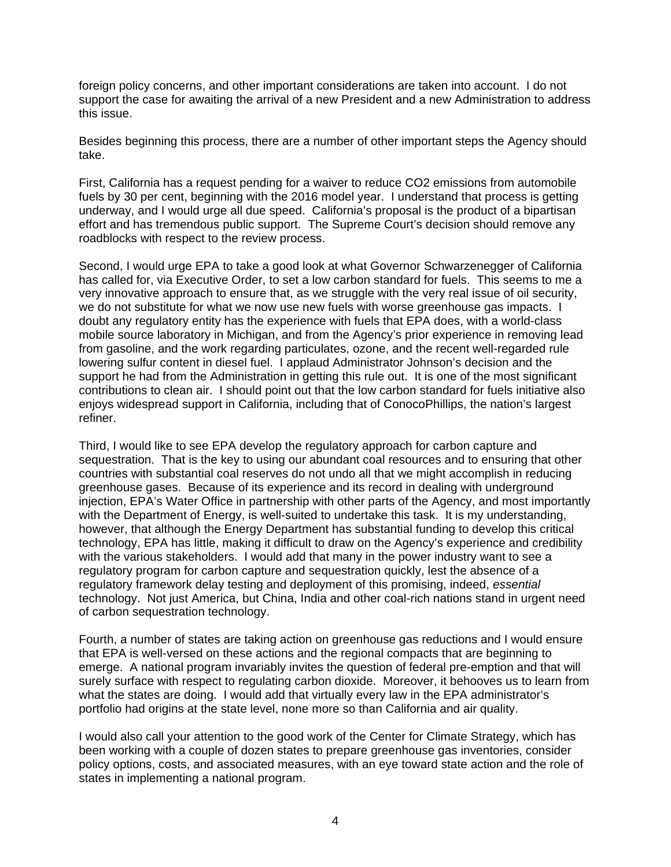foreign policy concerns, and other important considerations are taken into account. I do not support the case for awaiting the arrival of a new President and a new Administration to address this issue.

Besides beginning this process, there are a number of other important steps the Agency should take.

First, California has a request pending for a waiver to reduce CO2 emissions from automobile fuels by 30 per cent, beginning with the 2016 model year. I understand that process is getting underway, and I would urge all due speed. California's proposal is the product of a bipartisan effort and has tremendous public support. The Supreme Court's decision should remove any roadblocks with respect to the review process.

Second, I would urge EPA to take a good look at what Governor Schwarzenegger of California has called for, via Executive Order, to set a low carbon standard for fuels. This seems to me a very innovative approach to ensure that, as we struggle with the very real issue of oil security, we do not substitute for what we now use new fuels with worse greenhouse gas impacts. I doubt any regulatory entity has the experience with fuels that EPA does, with a world-class mobile source laboratory in Michigan, and from the Agency's prior experience in removing lead from gasoline, and the work regarding particulates, ozone, and the recent well-regarded rule lowering sulfur content in diesel fuel. I applaud Administrator Johnson's decision and the support he had from the Administration in getting this rule out. It is one of the most significant contributions to clean air. I should point out that the low carbon standard for fuels initiative also enjoys widespread support in California, including that of ConocoPhillips, the nation's largest refiner.

Third, I would like to see EPA develop the regulatory approach for carbon capture and sequestration. That is the key to using our abundant coal resources and to ensuring that other countries with substantial coal reserves do not undo all that we might accomplish in reducing greenhouse gases. Because of its experience and its record in dealing with underground injection, EPA's Water Office in partnership with other parts of the Agency, and most importantly with the Department of Energy, is well-suited to undertake this task. It is my understanding, however, that although the Energy Department has substantial funding to develop this critical technology, EPA has little, making it difficult to draw on the Agency's experience and credibility with the various stakeholders. I would add that many in the power industry want to see a regulatory program for carbon capture and sequestration quickly, lest the absence of a regulatory framework delay testing and deployment of this promising, indeed, *essential* technology. Not just America, but China, India and other coal-rich nations stand in urgent need of carbon sequestration technology.

Fourth, a number of states are taking action on greenhouse gas reductions and I would ensure that EPA is well-versed on these actions and the regional compacts that are beginning to emerge. A national program invariably invites the question of federal pre-emption and that will surely surface with respect to regulating carbon dioxide. Moreover, it behooves us to learn from what the states are doing. I would add that virtually every law in the EPA administrator's portfolio had origins at the state level, none more so than California and air quality.

I would also call your attention to the good work of the Center for Climate Strategy, which has been working with a couple of dozen states to prepare greenhouse gas inventories, consider policy options, costs, and associated measures, with an eye toward state action and the role of states in implementing a national program.